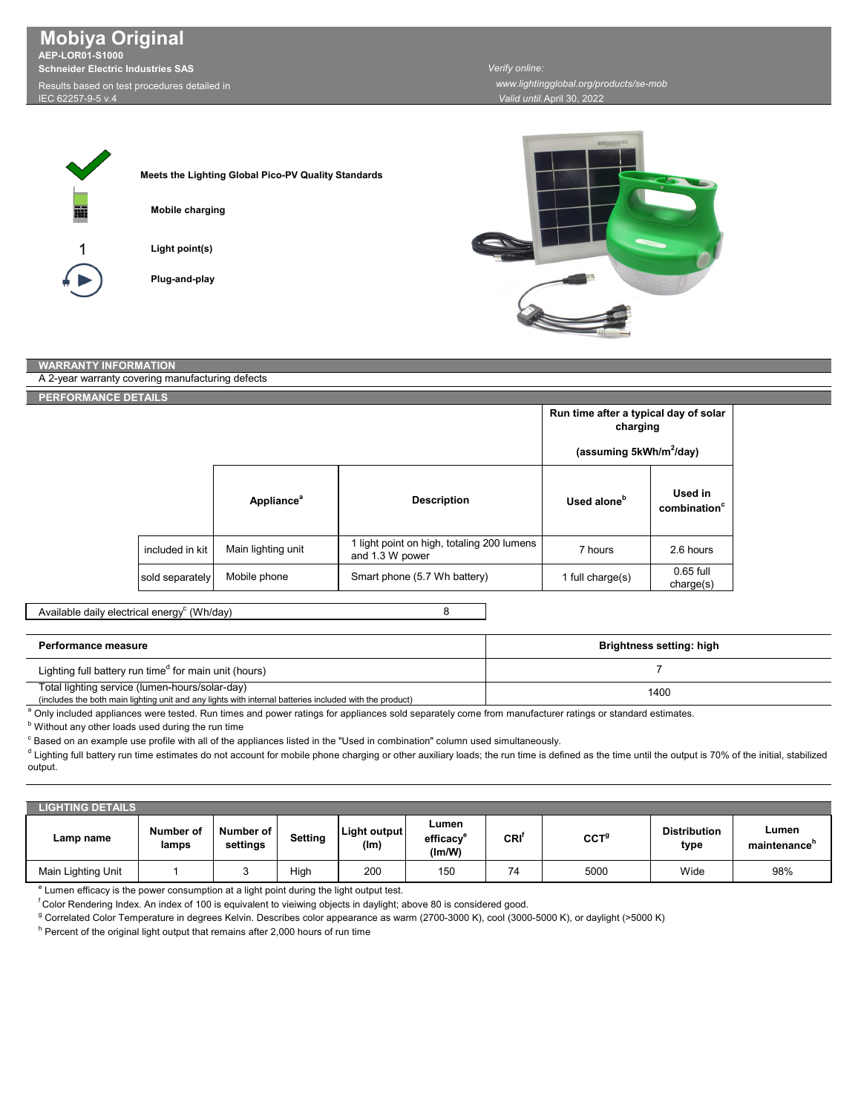**Mobiya Original AEP-LOR01-S1000 Schneider Electric Industries SAS** Results based on test procedures detailed in

IEC 62257-9-5 v.4

*Verify online: www.lightingglobal.org/products/se-mob*

*Valid until:*April 30, 2022

| m |  |
|---|--|
| 1 |  |
|   |  |

| Meets the Lighting Global Pico-PV Quality Standards |
|-----------------------------------------------------|
|                                                     |
| <b>Mobile charging</b>                              |
|                                                     |
| Light point(s)                                      |
|                                                     |
| Plug-and-play                                       |
|                                                     |



## **WARRANTY INFORMATION**

| A 2-year warranty covering manufacturing defects |                 |                               |                                                               |                                                   |                                     |
|--------------------------------------------------|-----------------|-------------------------------|---------------------------------------------------------------|---------------------------------------------------|-------------------------------------|
| PERFORMANCE DETAILS                              |                 |                               |                                                               |                                                   |                                     |
|                                                  |                 |                               |                                                               | Run time after a typical day of solar<br>charging |                                     |
|                                                  |                 |                               |                                                               | (assuming 5kWh/m <sup>2</sup> /day)               |                                     |
|                                                  |                 | <b>Appliance</b> <sup>a</sup> | <b>Description</b>                                            | Used alone <sup>b</sup>                           | Used in<br>combination <sup>c</sup> |
|                                                  | included in kit | Main lighting unit            | 1 light point on high, totaling 200 lumens<br>and 1.3 W power | 7 hours                                           | 2.6 hours                           |
|                                                  | sold separately | Mobile phone                  | Smart phone (5.7 Wh battery)                                  | 1 full charge(s)                                  | $0.65$ full<br>charge(s)            |

Available daily electrical energy $^{\rm c}$  (Wh/day)

## 8

| Performance measure                                                                                                                                       | Brightness setting: high |
|-----------------------------------------------------------------------------------------------------------------------------------------------------------|--------------------------|
| Lighting full battery run time <sup>d</sup> for main unit (hours)                                                                                         |                          |
| Total lighting service (lumen-hours/solar-day)<br>(includes the both main lighting unit and any lights with internal batteries included with the product) | 1400                     |

a Only included appliances were tested. Run times and power ratings for appliances sold separately come from manufacturer ratings or standard estimates.

**b** Without any other loads used during the run time

 $^\circ$  Based on an example use profile with all of the appliances listed in the "Used in combination" column used simultaneously.

 $^{\text{d}}$  Lighting full battery run time estimates do not account for mobile phone charging or other auxiliary loads; the run time is defined as the time until the output is 70% of the initial, stabilized output.

| <b>LIGHTING DETAILS</b> |                    |                       |         |                      |                                                                                 |                  |                  |                             |                       |
|-------------------------|--------------------|-----------------------|---------|----------------------|---------------------------------------------------------------------------------|------------------|------------------|-----------------------------|-----------------------|
| Lamp name               | Number of<br>lamps | Number of<br>settings | Setting | Light output<br>(lm) | Lumen<br>efficacy<br>$\mathsf{I}(\mathsf{I}(\mathsf{m})\mathsf{I}(\mathsf{M}))$ | CRI <sup>r</sup> | CCT <sup>g</sup> | <b>Distribution</b><br>type | Lumen<br>maintenance" |
| Main Lighting Unit      |                    |                       | High    | 200                  | 150                                                                             | 74               | 5000             | Wide                        | 98%                   |

e Lumen efficacy is the power consumption at a light point during the light output test.

f Color Rendering Index. An index of 100 is equivalent to vieiwing objects in daylight; above 80 is considered good.

<sup>g</sup> Correlated Color Temperature in degrees Kelvin. Describes color appearance as warm (2700-3000 K), cool (3000-5000 K), or daylight (>5000 K)

 $^{\rm h}$  Percent of the original light output that remains after 2,000 hours of run time